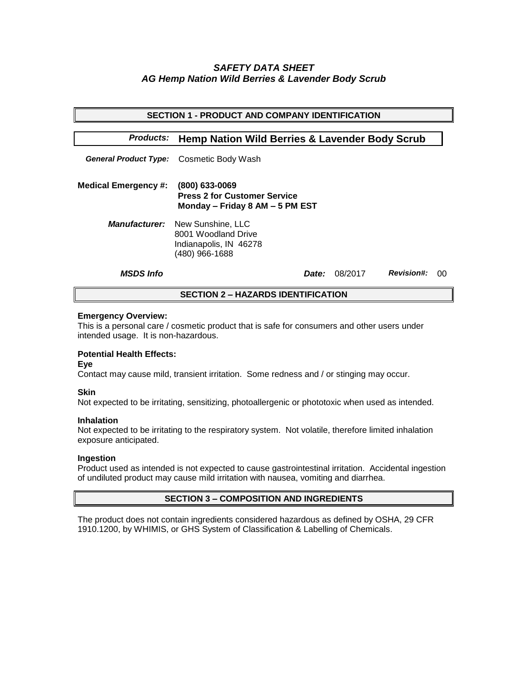# *SAFETY DATA SHEET AG Hemp Nation Wild Berries & Lavender Body Scrub*

| <b>SECTION 1 - PRODUCT AND COMPANY IDENTIFICATION</b>                         |                                                                                                           |                                   |  |  |
|-------------------------------------------------------------------------------|-----------------------------------------------------------------------------------------------------------|-----------------------------------|--|--|
| <b>Products:</b><br><b>Hemp Nation Wild Berries &amp; Lavender Body Scrub</b> |                                                                                                           |                                   |  |  |
|                                                                               | General Product Type: Cosmetic Body Wash                                                                  |                                   |  |  |
| <b>Medical Emergency #:</b>                                                   | $(800)$ 633-0069<br><b>Press 2 for Customer Service</b><br>Monday - Friday 8 AM - 5 PM EST                |                                   |  |  |
|                                                                               | <b>Manufacturer:</b> New Sunshine, LLC<br>8001 Woodland Drive<br>Indianapolis, IN 46278<br>(480) 966-1688 |                                   |  |  |
| <b>MSDS Info</b>                                                              | <i>Date:</i>                                                                                              | <b>Revision#:</b><br>08/2017<br>ന |  |  |
| <b>SECTION 2 – HAZARDS IDENTIFICATION</b>                                     |                                                                                                           |                                   |  |  |

#### **Emergency Overview:**

This is a personal care / cosmetic product that is safe for consumers and other users under intended usage. It is non-hazardous.

## **Potential Health Effects:**

**Eye**

Contact may cause mild, transient irritation. Some redness and / or stinging may occur.

### **Skin**

Not expected to be irritating, sensitizing, photoallergenic or phototoxic when used as intended.

#### **Inhalation**

Not expected to be irritating to the respiratory system. Not volatile, therefore limited inhalation exposure anticipated.

### **Ingestion**

Product used as intended is not expected to cause gastrointestinal irritation. Accidental ingestion of undiluted product may cause mild irritation with nausea, vomiting and diarrhea.

### **SECTION 3 – COMPOSITION AND INGREDIENTS**

The product does not contain ingredients considered hazardous as defined by OSHA, 29 CFR 1910.1200, by WHIMIS, or GHS System of Classification & Labelling of Chemicals.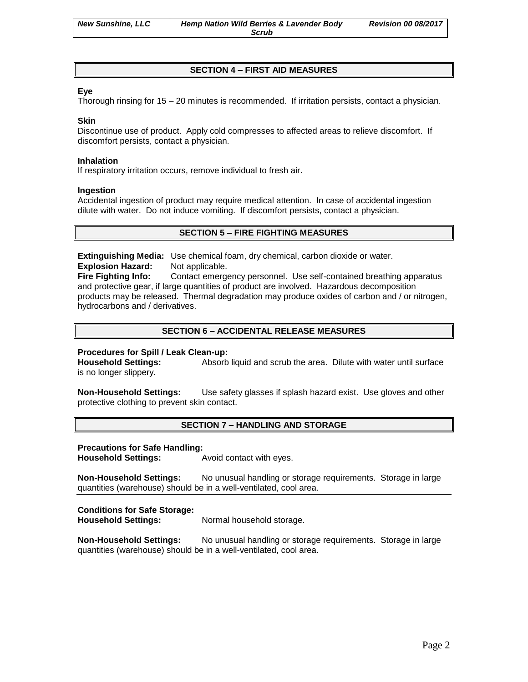# **SECTION 4 – FIRST AID MEASURES**

### **Eye**

Thorough rinsing for 15 – 20 minutes is recommended. If irritation persists, contact a physician.

#### **Skin**

Discontinue use of product. Apply cold compresses to affected areas to relieve discomfort. If discomfort persists, contact a physician.

#### **Inhalation**

If respiratory irritation occurs, remove individual to fresh air.

#### **Ingestion**

Accidental ingestion of product may require medical attention. In case of accidental ingestion dilute with water. Do not induce vomiting. If discomfort persists, contact a physician.

## **SECTION 5 – FIRE FIGHTING MEASURES**

**Extinguishing Media:** Use chemical foam, dry chemical, carbon dioxide or water. **Explosion Hazard:** Not applicable.

**Fire Fighting Info:** Contact emergency personnel. Use self-contained breathing apparatus and protective gear, if large quantities of product are involved. Hazardous decomposition products may be released. Thermal degradation may produce oxides of carbon and / or nitrogen, hydrocarbons and / derivatives.

## **SECTION 6 – ACCIDENTAL RELEASE MEASURES**

### **Procedures for Spill / Leak Clean-up:**

**Household Settings:** Absorb liquid and scrub the area. Dilute with water until surface is no longer slippery.

**Non-Household Settings:** Use safety glasses if splash hazard exist. Use gloves and other protective clothing to prevent skin contact.

### **SECTION 7 – HANDLING AND STORAGE**

#### **Precautions for Safe Handling:**

**Household Settings:** Avoid contact with eyes.

**Non-Household Settings:** No unusual handling or storage requirements. Storage in large quantities (warehouse) should be in a well-ventilated, cool area.

### **Conditions for Safe Storage:**

**Household Settings:** Normal household storage.

**Non-Household Settings:** No unusual handling or storage requirements. Storage in large quantities (warehouse) should be in a well-ventilated, cool area.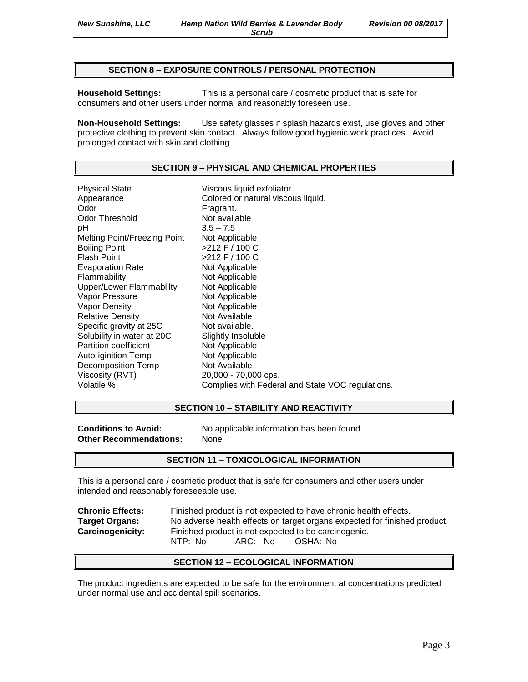#### **SECTION 8 – EXPOSURE CONTROLS / PERSONAL PROTECTION**

**Household Settings:** This is a personal care / cosmetic product that is safe for consumers and other users under normal and reasonably foreseen use.

**Non-Household Settings:** Use safety glasses if splash hazards exist, use gloves and other protective clothing to prevent skin contact. Always follow good hygienic work practices. Avoid prolonged contact with skin and clothing.

# **SECTION 9 – PHYSICAL AND CHEMICAL PROPERTIES**

| <b>Physical State</b>        | Viscous liquid exfoliator.                       |
|------------------------------|--------------------------------------------------|
| Appearance                   | Colored or natural viscous liquid.               |
| Odor                         | Fragrant.                                        |
| Odor Threshold               | Not available                                    |
| рH                           | $3.5 - 7.5$                                      |
| Melting Point/Freezing Point | Not Applicable                                   |
| Boiling Point                | >212 F / 100 C                                   |
| Flash Point                  | >212 F / 100 C                                   |
| <b>Evaporation Rate</b>      | Not Applicable                                   |
| Flammability                 | Not Applicable                                   |
| Upper/Lower Flammablilty     | Not Applicable                                   |
| Vapor Pressure               | Not Applicable                                   |
| Vapor Density                | Not Applicable                                   |
| <b>Relative Density</b>      | Not Available                                    |
| Specific gravity at 25C      | Not available.                                   |
| Solubility in water at 20C   | Slightly Insoluble                               |
| Partition coefficient        | Not Applicable                                   |
| Auto-iginition Temp          | Not Applicable                                   |
| Decomposition Temp           | Not Available                                    |
| Viscosity (RVT)              | 20,000 - 70,000 cps.                             |
| Volatile %                   | Complies with Federal and State VOC regulations. |
|                              |                                                  |

## **SECTION 10 – STABILITY AND REACTIVITY**

| <b>Conditions to Avoid:</b>   |  |  |
|-------------------------------|--|--|
| <b>Other Recommendations:</b> |  |  |

**Conditions to Avoid:** No applicable information has been found. **Other Recommendations:** None

#### **SECTION 11 – TOXICOLOGICAL INFORMATION**

This is a personal care / cosmetic product that is safe for consumers and other users under intended and reasonably foreseeable use.

| <b>Chronic Effects:</b> | Finished product is not expected to have chronic health effects.          |  |  |
|-------------------------|---------------------------------------------------------------------------|--|--|
| <b>Target Organs:</b>   | No adverse health effects on target organs expected for finished product. |  |  |
| <b>Carcinogenicity:</b> | Finished product is not expected to be carcinogenic.                      |  |  |
|                         | NTP: No<br>IARC: No<br>OSHA: No                                           |  |  |

#### **SECTION 12 – ECOLOGICAL INFORMATION**

The product ingredients are expected to be safe for the environment at concentrations predicted under normal use and accidental spill scenarios.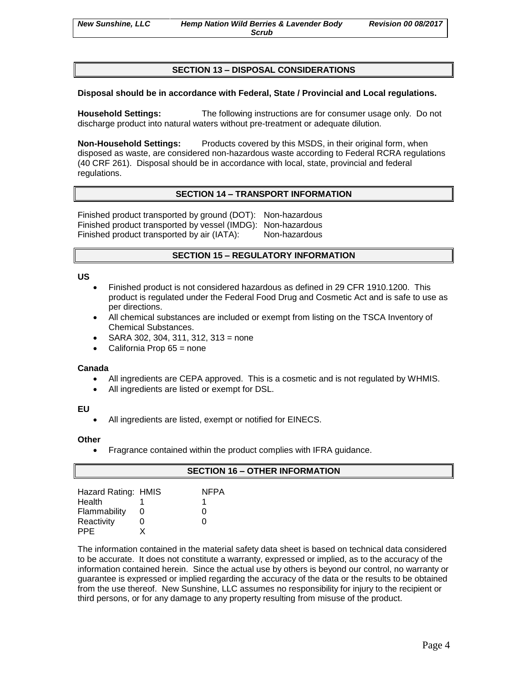## **SECTION 13 – DISPOSAL CONSIDERATIONS**

# **Disposal should be in accordance with Federal, State / Provincial and Local regulations.**

**Household Settings:** The following instructions are for consumer usage only. Do not discharge product into natural waters without pre-treatment or adequate dilution.

**Non-Household Settings:** Products covered by this MSDS, in their original form, when disposed as waste, are considered non-hazardous waste according to Federal RCRA regulations (40 CRF 261). Disposal should be in accordance with local, state, provincial and federal regulations.

# **SECTION 14 – TRANSPORT INFORMATION**

Finished product transported by ground (DOT): Non-hazardous Finished product transported by vessel (IMDG): Non-hazardous Finished product transported by air (IATA): Non-hazardous

# **SECTION 15 – REGULATORY INFORMATION**

#### **US**

- Finished product is not considered hazardous as defined in 29 CFR 1910.1200. This product is regulated under the Federal Food Drug and Cosmetic Act and is safe to use as per directions.
- All chemical substances are included or exempt from listing on the TSCA Inventory of Chemical Substances.
- SARA 302, 304, 311, 312, 313 = none
- California Prop 65 = none

### **Canada**

- All ingredients are CEPA approved. This is a cosmetic and is not regulated by WHMIS.
- All ingredients are listed or exempt for DSL.

### **EU**

All ingredients are listed, exempt or notified for EINECS.

### **Other**

• Fragrance contained within the product complies with IFRA guidance.

| <b>SECTION 16 - OTHER INFORMATION</b> |   |             |  |
|---------------------------------------|---|-------------|--|
|                                       |   |             |  |
| Hazard Rating: HMIS                   |   | <b>NFPA</b> |  |
| Health                                |   |             |  |
| Flammability                          | O |             |  |
| Reactivity                            |   |             |  |
| <b>PPE</b>                            |   |             |  |

The information contained in the material safety data sheet is based on technical data considered to be accurate. It does not constitute a warranty, expressed or implied, as to the accuracy of the information contained herein. Since the actual use by others is beyond our control, no warranty or guarantee is expressed or implied regarding the accuracy of the data or the results to be obtained from the use thereof. New Sunshine, LLC assumes no responsibility for injury to the recipient or third persons, or for any damage to any property resulting from misuse of the product.